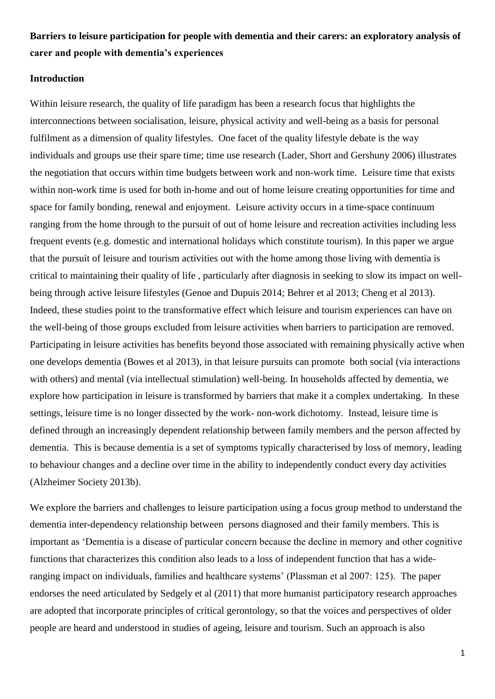# **Barriers to leisure participation for people with dementia and their carers: an exploratory analysis of carer and people with dementia's experiences**

### **Introduction**

Within leisure research, the quality of life paradigm has been a research focus that highlights the interconnections between socialisation, leisure, physical activity and well-being as a basis for personal fulfilment as a dimension of quality lifestyles. One facet of the quality lifestyle debate is the way individuals and groups use their spare time; time use research (Lader, Short and Gershuny 2006) illustrates the negotiation that occurs within time budgets between work and non-work time. Leisure time that exists within non-work time is used for both in-home and out of home leisure creating opportunities for time and space for family bonding, renewal and enjoyment. Leisure activity occurs in a time-space continuum ranging from the home through to the pursuit of out of home leisure and recreation activities including less frequent events (e.g. domestic and international holidays which constitute tourism). In this paper we argue that the pursuit of leisure and tourism activities out with the home among those living with dementia is critical to maintaining their quality of life , particularly after diagnosis in seeking to slow its impact on wellbeing through active leisure lifestyles (Genoe and Dupuis 2014; Behrer et al 2013; Cheng et al 2013). Indeed, these studies point to the transformative effect which leisure and tourism experiences can have on the well-being of those groups excluded from leisure activities when barriers to participation are removed. Participating in leisure activities has benefits beyond those associated with remaining physically active when one develops dementia (Bowes et al 2013), in that leisure pursuits can promote both social (via interactions with others) and mental (via intellectual stimulation) well-being. In households affected by dementia, we explore how participation in leisure is transformed by barriers that make it a complex undertaking. In these settings, leisure time is no longer dissected by the work- non-work dichotomy. Instead, leisure time is defined through an increasingly dependent relationship between family members and the person affected by dementia. This is because dementia is a set of symptoms typically characterised by loss of memory, leading to behaviour changes and a decline over time in the ability to independently conduct every day activities (Alzheimer Society 2013b).

We explore the barriers and challenges to leisure participation using a focus group method to understand the dementia inter-dependency relationship between persons diagnosed and their family members. This is important as 'Dementia is a disease of particular concern because the decline in memory and other cognitive functions that characterizes this condition also leads to a loss of independent function that has a wideranging impact on individuals, families and healthcare systems' (Plassman et al 2007: 125). The paper endorses the need articulated by Sedgely et al (2011) that more humanist participatory research approaches are adopted that incorporate principles of critical gerontology, so that the voices and perspectives of older people are heard and understood in studies of ageing, leisure and tourism. Such an approach is also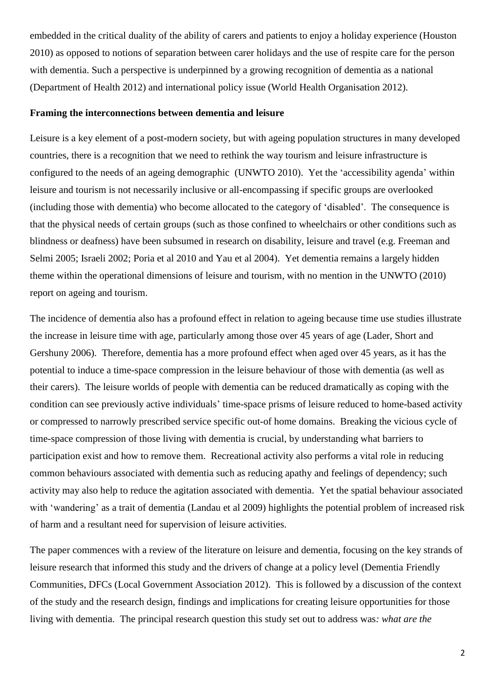embedded in the critical duality of the ability of carers and patients to enjoy a holiday experience (Houston 2010) as opposed to notions of separation between carer holidays and the use of respite care for the person with dementia. Such a perspective is underpinned by a growing recognition of dementia as a national (Department of Health 2012) and international policy issue (World Health Organisation 2012).

## **Framing the interconnections between dementia and leisure**

Leisure is a key element of a post-modern society, but with ageing population structures in many developed countries, there is a recognition that we need to rethink the way tourism and leisure infrastructure is configured to the needs of an ageing demographic (UNWTO 2010). Yet the 'accessibility agenda' within leisure and tourism is not necessarily inclusive or all-encompassing if specific groups are overlooked (including those with dementia) who become allocated to the category of 'disabled'. The consequence is that the physical needs of certain groups (such as those confined to wheelchairs or other conditions such as blindness or deafness) have been subsumed in research on disability, leisure and travel (e.g. Freeman and Selmi 2005; Israeli 2002; Poria et al 2010 and Yau et al 2004). Yet dementia remains a largely hidden theme within the operational dimensions of leisure and tourism, with no mention in the UNWTO (2010) report on ageing and tourism.

The incidence of dementia also has a profound effect in relation to ageing because time use studies illustrate the increase in leisure time with age, particularly among those over 45 years of age (Lader, Short and Gershuny 2006). Therefore, dementia has a more profound effect when aged over 45 years, as it has the potential to induce a time-space compression in the leisure behaviour of those with dementia (as well as their carers). The leisure worlds of people with dementia can be reduced dramatically as coping with the condition can see previously active individuals' time-space prisms of leisure reduced to home-based activity or compressed to narrowly prescribed service specific out-of home domains. Breaking the vicious cycle of time-space compression of those living with dementia is crucial, by understanding what barriers to participation exist and how to remove them. Recreational activity also performs a vital role in reducing common behaviours associated with dementia such as reducing apathy and feelings of dependency; such activity may also help to reduce the agitation associated with dementia. Yet the spatial behaviour associated with 'wandering' as a trait of dementia (Landau et al 2009) highlights the potential problem of increased risk of harm and a resultant need for supervision of leisure activities.

The paper commences with a review of the literature on leisure and dementia, focusing on the key strands of leisure research that informed this study and the drivers of change at a policy level (Dementia Friendly Communities, DFCs (Local Government Association 2012). This is followed by a discussion of the context of the study and the research design, findings and implications for creating leisure opportunities for those living with dementia. The principal research question this study set out to address was*: what are the*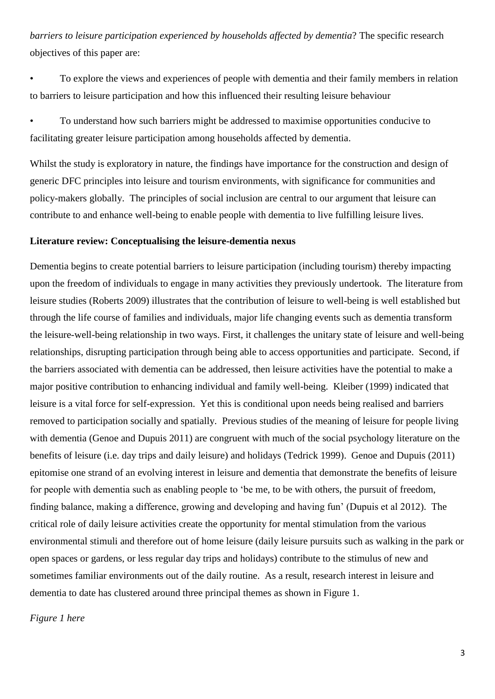*barriers to leisure participation experienced by households affected by dementia*? The specific research objectives of this paper are:

• To explore the views and experiences of people with dementia and their family members in relation to barriers to leisure participation and how this influenced their resulting leisure behaviour

• To understand how such barriers might be addressed to maximise opportunities conducive to facilitating greater leisure participation among households affected by dementia.

Whilst the study is exploratory in nature, the findings have importance for the construction and design of generic DFC principles into leisure and tourism environments, with significance for communities and policy-makers globally. The principles of social inclusion are central to our argument that leisure can contribute to and enhance well-being to enable people with dementia to live fulfilling leisure lives.

#### **Literature review: Conceptualising the leisure-dementia nexus**

Dementia begins to create potential barriers to leisure participation (including tourism) thereby impacting upon the freedom of individuals to engage in many activities they previously undertook. The literature from leisure studies (Roberts 2009) illustrates that the contribution of leisure to well-being is well established but through the life course of families and individuals, major life changing events such as dementia transform the leisure-well-being relationship in two ways. First, it challenges the unitary state of leisure and well-being relationships, disrupting participation through being able to access opportunities and participate. Second, if the barriers associated with dementia can be addressed, then leisure activities have the potential to make a major positive contribution to enhancing individual and family well-being. Kleiber (1999) indicated that leisure is a vital force for self-expression. Yet this is conditional upon needs being realised and barriers removed to participation socially and spatially. Previous studies of the meaning of leisure for people living with dementia (Genoe and Dupuis 2011) are congruent with much of the social psychology literature on the benefits of leisure (i.e. day trips and daily leisure) and holidays (Tedrick 1999). Genoe and Dupuis (2011) epitomise one strand of an evolving interest in leisure and dementia that demonstrate the benefits of leisure for people with dementia such as enabling people to 'be me, to be with others, the pursuit of freedom, finding balance, making a difference, growing and developing and having fun' (Dupuis et al 2012). The critical role of daily leisure activities create the opportunity for mental stimulation from the various environmental stimuli and therefore out of home leisure (daily leisure pursuits such as walking in the park or open spaces or gardens, or less regular day trips and holidays) contribute to the stimulus of new and sometimes familiar environments out of the daily routine. As a result, research interest in leisure and dementia to date has clustered around three principal themes as shown in Figure 1.

#### *Figure 1 here*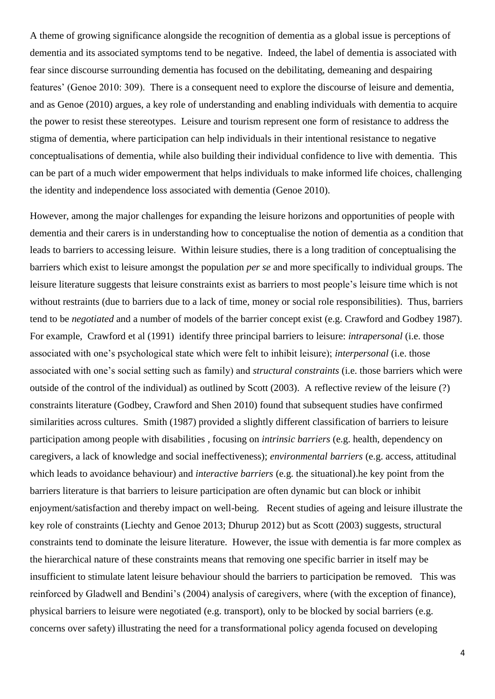A theme of growing significance alongside the recognition of dementia as a global issue is perceptions of dementia and its associated symptoms tend to be negative. Indeed, the label of dementia is associated with fear since discourse surrounding dementia has focused on the debilitating, demeaning and despairing features' (Genoe 2010: 309). There is a consequent need to explore the discourse of leisure and dementia, and as Genoe (2010) argues, a key role of understanding and enabling individuals with dementia to acquire the power to resist these stereotypes. Leisure and tourism represent one form of resistance to address the stigma of dementia, where participation can help individuals in their intentional resistance to negative conceptualisations of dementia, while also building their individual confidence to live with dementia. This can be part of a much wider empowerment that helps individuals to make informed life choices, challenging the identity and independence loss associated with dementia (Genoe 2010).

However, among the major challenges for expanding the leisure horizons and opportunities of people with dementia and their carers is in understanding how to conceptualise the notion of dementia as a condition that leads to barriers to accessing leisure. Within leisure studies, there is a long tradition of conceptualising the barriers which exist to leisure amongst the population *per se* and more specifically to individual groups. The leisure literature suggests that leisure constraints exist as barriers to most people's leisure time which is not without restraints (due to barriers due to a lack of time, money or social role responsibilities). Thus, barriers tend to be *negotiated* and a number of models of the barrier concept exist (e.g. Crawford and Godbey 1987). For example, Crawford et al (1991) identify three principal barriers to leisure: *intrapersonal* (i.e. those associated with one's psychological state which were felt to inhibit leisure); *interpersonal* (i.e. those associated with one's social setting such as family) and *structural constraints* (i.e. those barriers which were outside of the control of the individual) as outlined by Scott (2003). A reflective review of the leisure (?) constraints literature (Godbey, Crawford and Shen 2010) found that subsequent studies have confirmed similarities across cultures. Smith (1987) provided a slightly different classification of barriers to leisure participation among people with disabilities , focusing on *intrinsic barriers* (e.g. health, dependency on caregivers, a lack of knowledge and social ineffectiveness); *environmental barriers* (e.g. access, attitudinal which leads to avoidance behaviour) and *interactive barriers* (e.g. the situational).he key point from the barriers literature is that barriers to leisure participation are often dynamic but can block or inhibit enjoyment/satisfaction and thereby impact on well-being. Recent studies of ageing and leisure illustrate the key role of constraints (Liechty and Genoe 2013; Dhurup 2012) but as Scott (2003) suggests, structural constraints tend to dominate the leisure literature. However, the issue with dementia is far more complex as the hierarchical nature of these constraints means that removing one specific barrier in itself may be insufficient to stimulate latent leisure behaviour should the barriers to participation be removed. This was reinforced by Gladwell and Bendini's (2004) analysis of caregivers, where (with the exception of finance), physical barriers to leisure were negotiated (e.g. transport), only to be blocked by social barriers (e.g. concerns over safety) illustrating the need for a transformational policy agenda focused on developing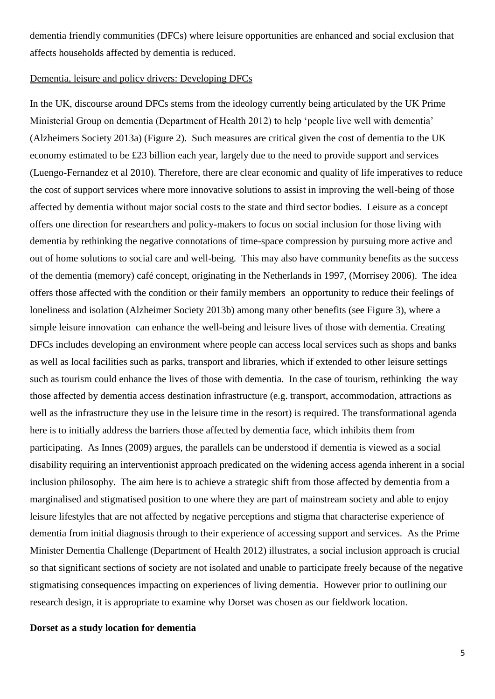dementia friendly communities (DFCs) where leisure opportunities are enhanced and social exclusion that affects households affected by dementia is reduced.

# Dementia, leisure and policy drivers: Developing DFCs

In the UK, discourse around DFCs stems from the ideology currently being articulated by the UK Prime Ministerial Group on dementia (Department of Health 2012) to help 'people live well with dementia' (Alzheimers Society 2013a) (Figure 2). Such measures are critical given the cost of dementia to the UK economy estimated to be £23 billion each year, largely due to the need to provide support and services (Luengo-Fernandez et al 2010). Therefore, there are clear economic and quality of life imperatives to reduce the cost of support services where more innovative solutions to assist in improving the well-being of those affected by dementia without major social costs to the state and third sector bodies. Leisure as a concept offers one direction for researchers and policy-makers to focus on social inclusion for those living with dementia by rethinking the negative connotations of time-space compression by pursuing more active and out of home solutions to social care and well-being. This may also have community benefits as the success of the dementia (memory) café concept, originating in the Netherlands in 1997, (Morrisey 2006). The idea offers those affected with the condition or their family members an opportunity to reduce their feelings of loneliness and isolation (Alzheimer Society 2013b) among many other benefits (see Figure 3), where a simple leisure innovation can enhance the well-being and leisure lives of those with dementia. Creating DFCs includes developing an environment where people can access local services such as shops and banks as well as local facilities such as parks, transport and libraries, which if extended to other leisure settings such as tourism could enhance the lives of those with dementia. In the case of tourism, rethinking the way those affected by dementia access destination infrastructure (e.g. transport, accommodation, attractions as well as the infrastructure they use in the leisure time in the resort) is required. The transformational agenda here is to initially address the barriers those affected by dementia face, which inhibits them from participating. As Innes (2009) argues, the parallels can be understood if dementia is viewed as a social disability requiring an interventionist approach predicated on the widening access agenda inherent in a social inclusion philosophy. The aim here is to achieve a strategic shift from those affected by dementia from a marginalised and stigmatised position to one where they are part of mainstream society and able to enjoy leisure lifestyles that are not affected by negative perceptions and stigma that characterise experience of dementia from initial diagnosis through to their experience of accessing support and services. As the Prime Minister Dementia Challenge (Department of Health 2012) illustrates, a social inclusion approach is crucial so that significant sections of society are not isolated and unable to participate freely because of the negative stigmatising consequences impacting on experiences of living dementia. However prior to outlining our research design, it is appropriate to examine why Dorset was chosen as our fieldwork location.

## **Dorset as a study location for dementia**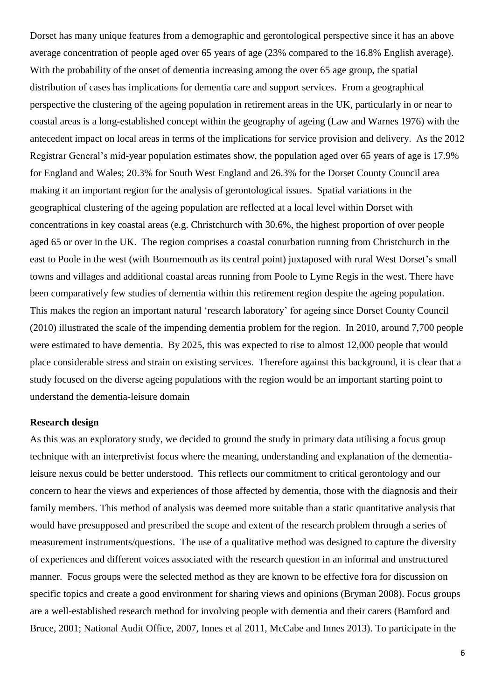Dorset has many unique features from a demographic and gerontological perspective since it has an above average concentration of people aged over 65 years of age (23% compared to the 16.8% English average). With the probability of the onset of dementia increasing among the over 65 age group, the spatial distribution of cases has implications for dementia care and support services. From a geographical perspective the clustering of the ageing population in retirement areas in the UK, particularly in or near to coastal areas is a long-established concept within the geography of ageing (Law and Warnes 1976) with the antecedent impact on local areas in terms of the implications for service provision and delivery. As the 2012 Registrar General's mid-year population estimates show, the population aged over 65 years of age is 17.9% for England and Wales; 20.3% for South West England and 26.3% for the Dorset County Council area making it an important region for the analysis of gerontological issues. Spatial variations in the geographical clustering of the ageing population are reflected at a local level within Dorset with concentrations in key coastal areas (e.g. Christchurch with 30.6%, the highest proportion of over people aged 65 or over in the UK. The region comprises a coastal conurbation running from Christchurch in the east to Poole in the west (with Bournemouth as its central point) juxtaposed with rural West Dorset's small towns and villages and additional coastal areas running from Poole to Lyme Regis in the west. There have been comparatively few studies of dementia within this retirement region despite the ageing population. This makes the region an important natural 'research laboratory' for ageing since Dorset County Council (2010) illustrated the scale of the impending dementia problem for the region. In 2010, around 7,700 people were estimated to have dementia. By 2025, this was expected to rise to almost 12,000 people that would place considerable stress and strain on existing services. Therefore against this background, it is clear that a study focused on the diverse ageing populations with the region would be an important starting point to understand the dementia-leisure domain

# **Research design**

As this was an exploratory study, we decided to ground the study in primary data utilising a focus group technique with an interpretivist focus where the meaning, understanding and explanation of the dementialeisure nexus could be better understood. This reflects our commitment to critical gerontology and our concern to hear the views and experiences of those affected by dementia, those with the diagnosis and their family members. This method of analysis was deemed more suitable than a static quantitative analysis that would have presupposed and prescribed the scope and extent of the research problem through a series of measurement instruments/questions. The use of a qualitative method was designed to capture the diversity of experiences and different voices associated with the research question in an informal and unstructured manner. Focus groups were the selected method as they are known to be effective fora for discussion on specific topics and create a good environment for sharing views and opinions (Bryman 2008). Focus groups are a well-established research method for involving people with dementia and their carers (Bamford and Bruce, 2001; National Audit Office, 2007, Innes et al 2011, McCabe and Innes 2013). To participate in the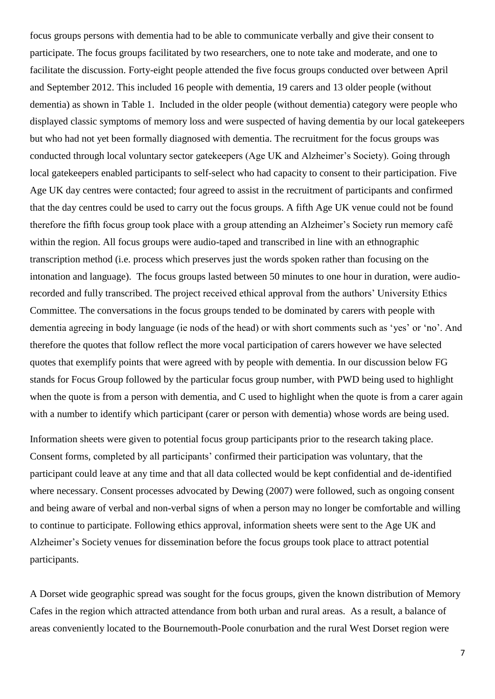focus groups persons with dementia had to be able to communicate verbally and give their consent to participate. The focus groups facilitated by two researchers, one to note take and moderate, and one to facilitate the discussion. Forty-eight people attended the five focus groups conducted over between April and September 2012. This included 16 people with dementia, 19 carers and 13 older people (without dementia) as shown in Table 1. Included in the older people (without dementia) category were people who displayed classic symptoms of memory loss and were suspected of having dementia by our local gatekeepers but who had not yet been formally diagnosed with dementia. The recruitment for the focus groups was conducted through local voluntary sector gatekeepers (Age UK and Alzheimer's Society). Going through local gatekeepers enabled participants to self-select who had capacity to consent to their participation. Five Age UK day centres were contacted; four agreed to assist in the recruitment of participants and confirmed that the day centres could be used to carry out the focus groups. A fifth Age UK venue could not be found therefore the fifth focus group took place with a group attending an Alzheimer's Society run memory café within the region. All focus groups were audio-taped and transcribed in line with an ethnographic transcription method (i.e. process which preserves just the words spoken rather than focusing on the intonation and language). The focus groups lasted between 50 minutes to one hour in duration, were audiorecorded and fully transcribed. The project received ethical approval from the authors' University Ethics Committee. The conversations in the focus groups tended to be dominated by carers with people with dementia agreeing in body language (ie nods of the head) or with short comments such as 'yes' or 'no'. And therefore the quotes that follow reflect the more vocal participation of carers however we have selected quotes that exemplify points that were agreed with by people with dementia. In our discussion below FG stands for Focus Group followed by the particular focus group number, with PWD being used to highlight when the quote is from a person with dementia, and C used to highlight when the quote is from a carer again with a number to identify which participant (carer or person with dementia) whose words are being used.

Information sheets were given to potential focus group participants prior to the research taking place. Consent forms, completed by all participants' confirmed their participation was voluntary, that the participant could leave at any time and that all data collected would be kept confidential and de-identified where necessary. Consent processes advocated by Dewing (2007) were followed, such as ongoing consent and being aware of verbal and non-verbal signs of when a person may no longer be comfortable and willing to continue to participate. Following ethics approval, information sheets were sent to the Age UK and Alzheimer's Society venues for dissemination before the focus groups took place to attract potential participants.

A Dorset wide geographic spread was sought for the focus groups, given the known distribution of Memory Cafes in the region which attracted attendance from both urban and rural areas. As a result, a balance of areas conveniently located to the Bournemouth-Poole conurbation and the rural West Dorset region were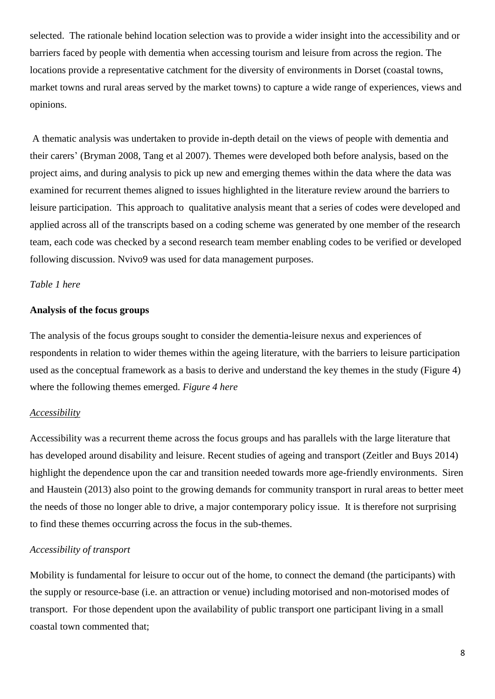selected. The rationale behind location selection was to provide a wider insight into the accessibility and or barriers faced by people with dementia when accessing tourism and leisure from across the region. The locations provide a representative catchment for the diversity of environments in Dorset (coastal towns, market towns and rural areas served by the market towns) to capture a wide range of experiences, views and opinions.

A thematic analysis was undertaken to provide in-depth detail on the views of people with dementia and their carers' (Bryman 2008, Tang et al 2007). Themes were developed both before analysis, based on the project aims, and during analysis to pick up new and emerging themes within the data where the data was examined for recurrent themes aligned to issues highlighted in the literature review around the barriers to leisure participation. This approach to qualitative analysis meant that a series of codes were developed and applied across all of the transcripts based on a coding scheme was generated by one member of the research team, each code was checked by a second research team member enabling codes to be verified or developed following discussion. Nvivo9 was used for data management purposes.

## *Table 1 here*

### **Analysis of the focus groups**

The analysis of the focus groups sought to consider the dementia-leisure nexus and experiences of respondents in relation to wider themes within the ageing literature, with the barriers to leisure participation used as the conceptual framework as a basis to derive and understand the key themes in the study (Figure 4) where the following themes emerged. *Figure 4 here*

#### *Accessibility*

Accessibility was a recurrent theme across the focus groups and has parallels with the large literature that has developed around disability and leisure. Recent studies of ageing and transport (Zeitler and Buys 2014) highlight the dependence upon the car and transition needed towards more age-friendly environments. Siren and Haustein (2013) also point to the growing demands for community transport in rural areas to better meet the needs of those no longer able to drive, a major contemporary policy issue. It is therefore not surprising to find these themes occurring across the focus in the sub-themes.

# *Accessibility of transport*

Mobility is fundamental for leisure to occur out of the home, to connect the demand (the participants) with the supply or resource-base (i.e. an attraction or venue) including motorised and non-motorised modes of transport. For those dependent upon the availability of public transport one participant living in a small coastal town commented that;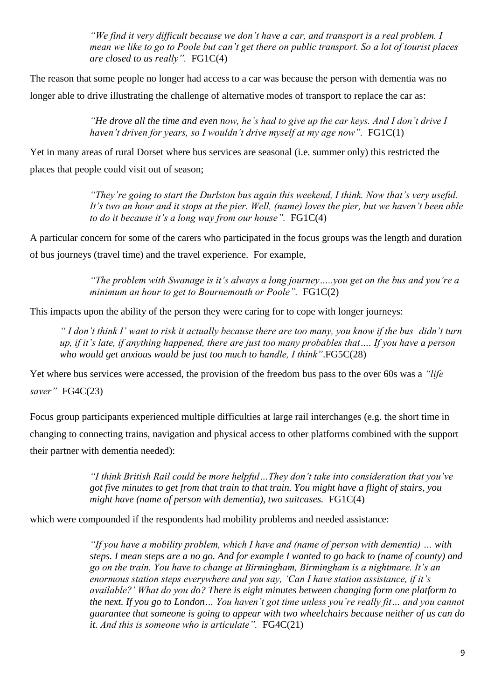*"We find it very difficult because we don't have a car, and transport is a real problem. I mean we like to go to Poole but can't get there on public transport. So a lot of tourist places are closed to us really".* FG1C(4)

The reason that some people no longer had access to a car was because the person with dementia was no longer able to drive illustrating the challenge of alternative modes of transport to replace the car as:

> *"He drove all the time and even now, he's had to give up the car keys. And I don't drive I haven't driven for years, so I wouldn't drive myself at my age now".* FG1C(1)

Yet in many areas of rural Dorset where bus services are seasonal (i.e. summer only) this restricted the places that people could visit out of season;

> *"They're going to start the Durlston bus again this weekend, I think. Now that's very useful. It's two an hour and it stops at the pier. Well, (name) loves the pier, but we haven't been able to do it because it's a long way from our house".* FG1C(4)

A particular concern for some of the carers who participated in the focus groups was the length and duration of bus journeys (travel time) and the travel experience. For example,

> *"The problem with Swanage is it's always a long journey…..you get on the bus and you're a minimum an hour to get to Bournemouth or Poole".* FG1C(2)

This impacts upon the ability of the person they were caring for to cope with longer journeys:

*" I don't think I' want to risk it actually because there are too many, you know if the bus didn't turn up, if it's late, if anything happened, there are just too many probables that…. If you have a person who would get anxious would be just too much to handle, I think"*.FG5C(28)

Yet where bus services were accessed, the provision of the freedom bus pass to the over 60s was a *"life saver"* FG4C(23)

Focus group participants experienced multiple difficulties at large rail interchanges (e.g. the short time in changing to connecting trains, navigation and physical access to other platforms combined with the support their partner with dementia needed):

> *"I think British Rail could be more helpful…They don't take into consideration that you've got five minutes to get from that train to that train. You might have a flight of stairs, you might have (name of person with dementia), two suitcases.* FG1C(4)

which were compounded if the respondents had mobility problems and needed assistance:

*"If you have a mobility problem, which I have and (name of person with dementia) … with steps. I mean steps are a no go. And for example I wanted to go back to (name of county) and go on the train. You have to change at Birmingham, Birmingham is a nightmare. It's an enormous station steps everywhere and you say, 'Can I have station assistance, if it's available?' What do you do? There is eight minutes between changing form one platform to the next. If you go to London… You haven't got time unless you're really fit… and you cannot guarantee that someone is going to appear with two wheelchairs because neither of us can do it. And this is someone who is articulate".* FG4C(21)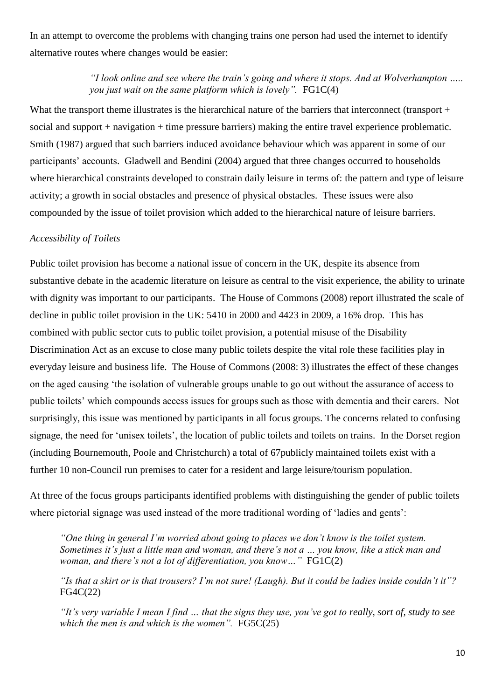In an attempt to overcome the problems with changing trains one person had used the internet to identify alternative routes where changes would be easier:

# *"I look online and see where the train's going and where it stops. And at Wolverhampton ….. you just wait on the same platform which is lovely".*  $FG1C(4)$

What the transport theme illustrates is the hierarchical nature of the barriers that interconnect (transport + social and support + navigation + time pressure barriers) making the entire travel experience problematic. Smith (1987) argued that such barriers induced avoidance behaviour which was apparent in some of our participants' accounts. Gladwell and Bendini (2004) argued that three changes occurred to households where hierarchical constraints developed to constrain daily leisure in terms of: the pattern and type of leisure activity; a growth in social obstacles and presence of physical obstacles. These issues were also compounded by the issue of toilet provision which added to the hierarchical nature of leisure barriers.

# *Accessibility of Toilets*

Public toilet provision has become a national issue of concern in the UK, despite its absence from substantive debate in the academic literature on leisure as central to the visit experience, the ability to urinate with dignity was important to our participants. The House of Commons (2008) report illustrated the scale of decline in public toilet provision in the UK: 5410 in 2000 and 4423 in 2009, a 16% drop. This has combined with public sector cuts to public toilet provision, a potential misuse of the Disability Discrimination Act as an excuse to close many public toilets despite the vital role these facilities play in everyday leisure and business life. The House of Commons (2008: 3) illustrates the effect of these changes on the aged causing 'the isolation of vulnerable groups unable to go out without the assurance of access to public toilets' which compounds access issues for groups such as those with dementia and their carers. Not surprisingly, this issue was mentioned by participants in all focus groups. The concerns related to confusing signage, the need for 'unisex toilets', the location of public toilets and toilets on trains. In the Dorset region (including Bournemouth, Poole and Christchurch) a total of 67publicly maintained toilets exist with a further 10 non-Council run premises to cater for a resident and large leisure/tourism population.

At three of the focus groups participants identified problems with distinguishing the gender of public toilets where pictorial signage was used instead of the more traditional wording of 'ladies and gents':

*"One thing in general I'm worried about going to places we don't know is the toilet system. Sometimes it's just a little man and woman, and there's not a … you know, like a stick man and woman, and there's not a lot of differentiation, you know…"* FG1C(2)

*"Is that a skirt or is that trousers? I'm not sure! (Laugh). But it could be ladies inside couldn't it"?* FG4C(22)

*"It's very variable I mean I find … that the signs they use, you've got to really, sort of, study to see*  which the men is and which is the women".  $FG5C(25)$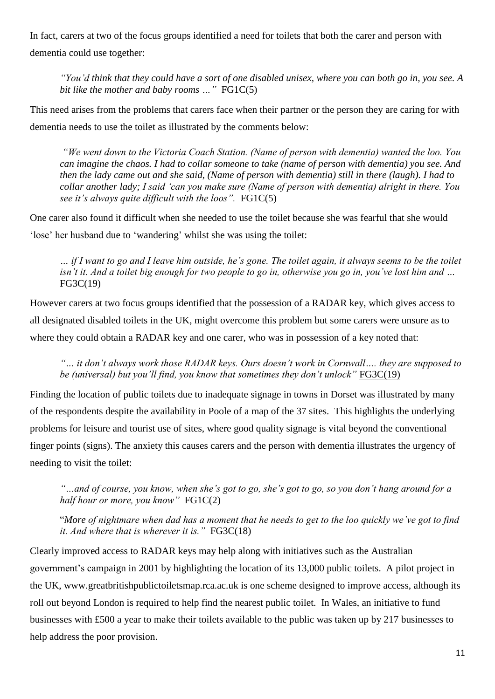In fact, carers at two of the focus groups identified a need for toilets that both the carer and person with dementia could use together:

*"You'd think that they could have a sort of one disabled unisex, where you can both go in, you see. A bit like the mother and baby rooms …"* FG1C(5)

This need arises from the problems that carers face when their partner or the person they are caring for with dementia needs to use the toilet as illustrated by the comments below:

*"We went down to the Victoria Coach Station. (Name of person with dementia) wanted the loo. You can imagine the chaos. I had to collar someone to take (name of person with dementia) you see. And then the lady came out and she said, (Name of person with dementia) still in there (laugh). I had to collar another lady; I said 'can you make sure (Name of person with dementia) alright in there. You see it's always quite difficult with the loos".* FG1C(5)

One carer also found it difficult when she needed to use the toilet because she was fearful that she would 'lose' her husband due to 'wandering' whilst she was using the toilet:

*… if I want to go and I leave him outside, he's gone. The toilet again, it always seems to be the toilet isn't it. And a toilet big enough for two people to go in, otherwise you go in, you've lost him and …*  FG3C(19)

However carers at two focus groups identified that the possession of a RADAR key, which gives access to all designated disabled toilets in the UK, might overcome this problem but some carers were unsure as to where they could obtain a RADAR key and one carer, who was in possession of a key noted that:

*"… it don't always work those RADAR keys. Ours doesn't work in Cornwall…. they are supposed to be (universal) but you'll find, you know that sometimes they don't unlock"* FG3C(19)

Finding the location of public toilets due to inadequate signage in towns in Dorset was illustrated by many of the respondents despite the availability in Poole of a map of the 37 sites. This highlights the underlying problems for leisure and tourist use of sites, where good quality signage is vital beyond the conventional finger points (signs). The anxiety this causes carers and the person with dementia illustrates the urgency of needing to visit the toilet:

*"…and of course, you know, when she's got to go, she's got to go, so you don't hang around for a half hour or more, you know"* FG1C(2)

"*More of nightmare when dad has a moment that he needs to get to the loo quickly we've got to find it. And where that is wherever it is."* FG3C(18)

Clearly improved access to RADAR keys may help along with initiatives such as the Australian government's campaign in 2001 by highlighting the location of its 13,000 public toilets. A pilot project in the UK, www.greatbritishpublictoiletsmap.rca.ac.uk is one scheme designed to improve access, although its roll out beyond London is required to help find the nearest public toilet. In Wales, an initiative to fund businesses with £500 a year to make their toilets available to the public was taken up by 217 businesses to help address the poor provision.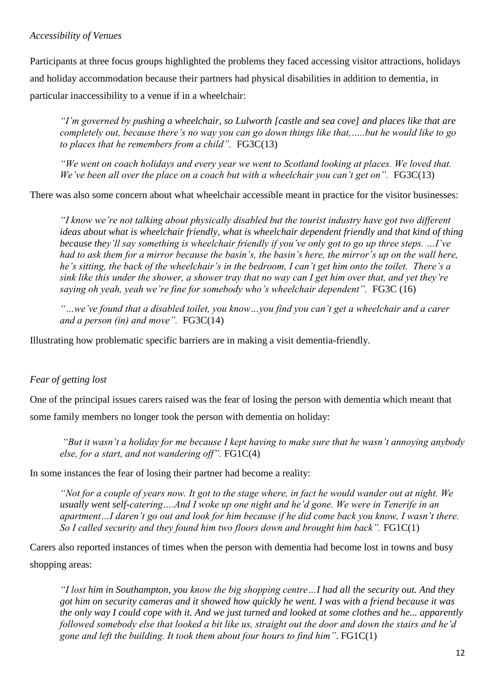# *Accessibility of Venues*

Participants at three focus groups highlighted the problems they faced accessing visitor attractions, holidays and holiday accommodation because their partners had physical disabilities in addition to dementia, in particular inaccessibility to a venue if in a wheelchair:

*"I'm governed by pushing a wheelchair, so Lulworth [castle and sea cove] and places like that are completely out, because there's no way you can go down things like that,…..but he would like to go to places that he remembers from a child".* FG3C(13)

*"We went on coach holidays and every year we went to Scotland looking at places. We loved that. We've been all over the place on a coach but with a wheelchair you can't get on".* FG3C(13)

There was also some concern about what wheelchair accessible meant in practice for the visitor businesses:

*"I know we're not talking about physically disabled but the tourist industry have got two different ideas about what is wheelchair friendly, what is wheelchair dependent friendly and that kind of thing because they'll say something is wheelchair friendly if you've only got to go up three steps. …I've had to ask them for a mirror because the basin's, the basin's here, the mirror's up on the wall here, he's sitting, the back of the wheelchair's in the bedroom, I can't get him onto the toilet. There's a sink like this under the shower, a shower tray that no way can I get him over that, and yet they're saying oh yeah, yeah we're fine for somebody who's wheelchair dependent".* FG3C (16)

*"…we've found that a disabled toilet, you know…you find you can't get a wheelchair and a carer and a person (in) and move".* FG3C(14)

Illustrating how problematic specific barriers are in making a visit dementia-friendly.

# *Fear of getting lost*

One of the principal issues carers raised was the fear of losing the person with dementia which meant that some family members no longer took the person with dementia on holiday:

*"But it wasn't a holiday for me because I kept having to make sure that he wasn't annoying anybody else, for a start, and not wandering off".* FG1C(4)

In some instances the fear of losing their partner had become a reality:

*"Not for a couple of years now. It got to the stage where, in fact he would wander out at night. We usually went self-catering….And I woke up one night and he'd gone. We were in Tenerife in an apartment…I daren't go out and look for him because if he did come back you know, I wasn't there. So I called security and they found him two floors down and brought him back".* FG1C(1)

Carers also reported instances of times when the person with dementia had become lost in towns and busy shopping areas:

*"I lost him in Southampton, you know the big shopping centre…I had all the security out. And they got him on security cameras and it showed how quickly he went. I was with a friend because it was the only way I could cope with it. And we just turned and looked at some clothes and he... apparently followed somebody else that looked a bit like us, straight out the door and down the stairs and he'd gone and left the building. It took them about four hours to find him"*. FG1C(1)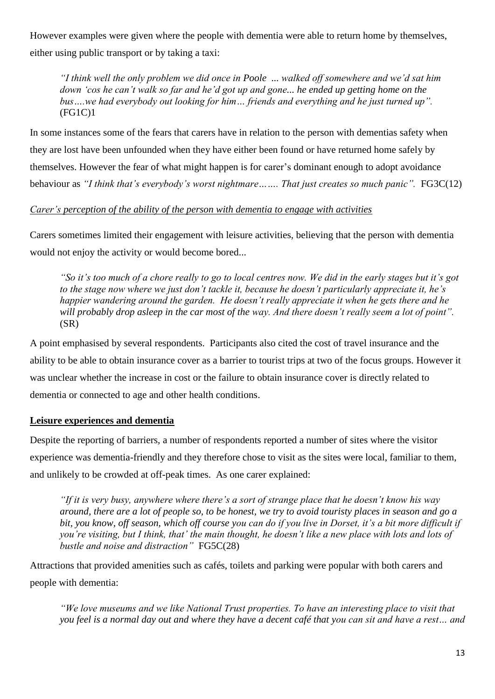However examples were given where the people with dementia were able to return home by themselves, either using public transport or by taking a taxi:

*"I think well the only problem we did once in Poole ... walked off somewhere and we'd sat him down 'cos he can't walk so far and he'd got up and gone... he ended up getting home on the bus….we had everybody out looking for him… friends and everything and he just turned up".*  (FG1C)1

In some instances some of the fears that carers have in relation to the person with dementias safety when they are lost have been unfounded when they have either been found or have returned home safely by themselves. However the fear of what might happen is for carer's dominant enough to adopt avoidance behaviour as *"I think that's everybody's worst nightmare……. That just creates so much panic".* FG3C(12)

# *Carer's perception of the ability of the person with dementia to engage with activities*

Carers sometimes limited their engagement with leisure activities, believing that the person with dementia would not enjoy the activity or would become bored...

*"So it's too much of a chore really to go to local centres now. We did in the early stages but it's got to the stage now where we just don't tackle it, because he doesn't particularly appreciate it, he's happier wandering around the garden. He doesn't really appreciate it when he gets there and he will probably drop asleep in the car most of the way. And there doesn't really seem a lot of point".*  (SR)

A point emphasised by several respondents. Participants also cited the cost of travel insurance and the ability to be able to obtain insurance cover as a barrier to tourist trips at two of the focus groups. However it was unclear whether the increase in cost or the failure to obtain insurance cover is directly related to dementia or connected to age and other health conditions.

# **Leisure experiences and dementia**

Despite the reporting of barriers, a number of respondents reported a number of sites where the visitor experience was dementia-friendly and they therefore chose to visit as the sites were local, familiar to them, and unlikely to be crowded at off-peak times. As one carer explained:

*"If it is very busy, anywhere where there's a sort of strange place that he doesn't know his way around, there are a lot of people so, to be honest, we try to avoid touristy places in season and go a bit, you know, off season, which off course you can do if you live in Dorset, it's a bit more difficult if you're visiting, but I think, that' the main thought, he doesn't like a new place with lots and lots of bustle and noise and distraction"* FG5C(28)

Attractions that provided amenities such as cafés, toilets and parking were popular with both carers and people with dementia:

*"We love museums and we like National Trust properties. To have an interesting place to visit that you feel is a normal day out and where they have a decent café that you can sit and have a rest… and*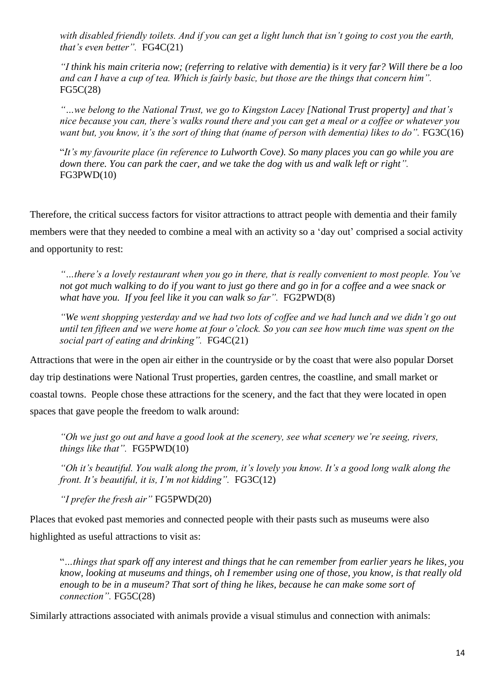*with disabled friendly toilets. And if you can get a light lunch that isn't going to cost you the earth, that's even better".* FG4C(21)

*"I think his main criteria now; (referring to relative with dementia) is it very far? Will there be a loo and can I have a cup of tea. Which is fairly basic, but those are the things that concern him".*  FG5C(28)

*"…we belong to the National Trust, we go to Kingston Lacey [National Trust property] and that's nice because you can, there's walks round there and you can get a meal or a coffee or whatever you want but, you know, it's the sort of thing that (name of person with dementia) likes to do".* FG3C(16)

"*It's my favourite place (in reference to Lulworth Cove). So many places you can go while you are down there. You can park the caer, and we take the dog with us and walk left or right".*  FG3PWD(10)

Therefore, the critical success factors for visitor attractions to attract people with dementia and their family members were that they needed to combine a meal with an activity so a 'day out' comprised a social activity and opportunity to rest:

*"…there's a lovely restaurant when you go in there, that is really convenient to most people. You've not got much walking to do if you want to just go there and go in for a coffee and a wee snack or what have you. If you feel like it you can walk so far".* FG2PWD(8)

*"We went shopping yesterday and we had two lots of coffee and we had lunch and we didn't go out until ten fifteen and we were home at four o'clock. So you can see how much time was spent on the social part of eating and drinking".* FG4C(21)

Attractions that were in the open air either in the countryside or by the coast that were also popular Dorset day trip destinations were National Trust properties, garden centres, the coastline, and small market or coastal towns. People chose these attractions for the scenery, and the fact that they were located in open spaces that gave people the freedom to walk around:

*"Oh we just go out and have a good look at the scenery, see what scenery we're seeing, rivers, things like that".* FG5PWD(10)

*"Oh it's beautiful. You walk along the prom, it's lovely you know. It's a good long walk along the front. It's beautiful, it is, I'm not kidding".* FG3C(12)

*"I prefer the fresh air"* FG5PWD(20)

Places that evoked past memories and connected people with their pasts such as museums were also highlighted as useful attractions to visit as:

"*…things that spark off any interest and things that he can remember from earlier years he likes, you know, looking at museums and things, oh I remember using one of those, you know, is that really old enough to be in a museum? That sort of thing he likes, because he can make some sort of connection".* FG5C(28)

Similarly attractions associated with animals provide a visual stimulus and connection with animals: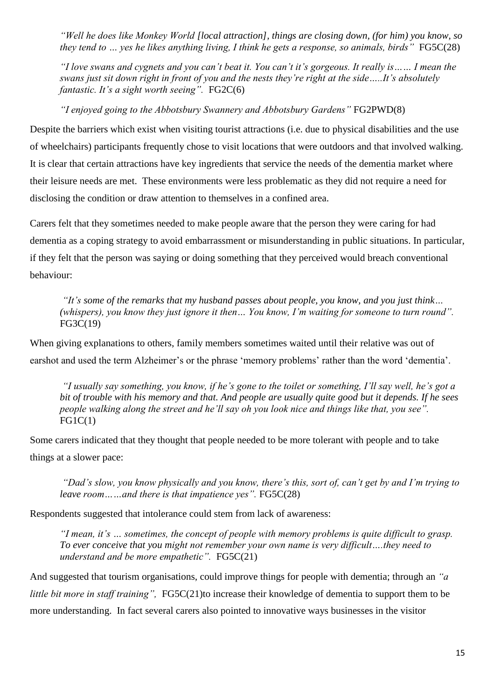*"Well he does like Monkey World [local attraction], things are closing down, (for him) you know, so they tend to ... yes he likes anything living, I think he gets a response, so animals, birds* " FG5C(28)

*"I love swans and cygnets and you can't beat it. You can't it's gorgeous. It really is…… I mean the swans just sit down right in front of you and the nests they're right at the side…..It's absolutely fantastic. It's a sight worth seeing".* FG2C(6)

*"I enjoyed going to the Abbotsbury Swannery and Abbotsbury Gardens"* FG2PWD(8)

Despite the barriers which exist when visiting tourist attractions (i.e. due to physical disabilities and the use of wheelchairs) participants frequently chose to visit locations that were outdoors and that involved walking. It is clear that certain attractions have key ingredients that service the needs of the dementia market where their leisure needs are met. These environments were less problematic as they did not require a need for disclosing the condition or draw attention to themselves in a confined area.

Carers felt that they sometimes needed to make people aware that the person they were caring for had dementia as a coping strategy to avoid embarrassment or misunderstanding in public situations. In particular, if they felt that the person was saying or doing something that they perceived would breach conventional behaviour:

*"It's some of the remarks that my husband passes about people, you know, and you just think… (whispers), you know they just ignore it then… You know, I'm waiting for someone to turn round".*  FG3C(19)

When giving explanations to others, family members sometimes waited until their relative was out of earshot and used the term Alzheimer's or the phrase 'memory problems' rather than the word 'dementia'.

*"I usually say something, you know, if he's gone to the toilet or something, I'll say well, he's got a bit of trouble with his memory and that. And people are usually quite good but it depends. If he sees people walking along the street and he'll say oh you look nice and things like that, you see".*  $FG1C(1)$ 

Some carers indicated that they thought that people needed to be more tolerant with people and to take things at a slower pace:

*"Dad's slow, you know physically and you know, there's this, sort of, can't get by and I'm trying to leave room……and there is that impatience yes".* FG5C(28)

Respondents suggested that intolerance could stem from lack of awareness:

*"I mean, it's … sometimes, the concept of people with memory problems is quite difficult to grasp. To ever conceive that you might not remember your own name is very difficult….they need to understand and be more empathetic".* FG5C(21)

And suggested that tourism organisations, could improve things for people with dementia; through an *"a little bit more in staff training", FG5C(21)to increase their knowledge of dementia to support them to be* more understanding. In fact several carers also pointed to innovative ways businesses in the visitor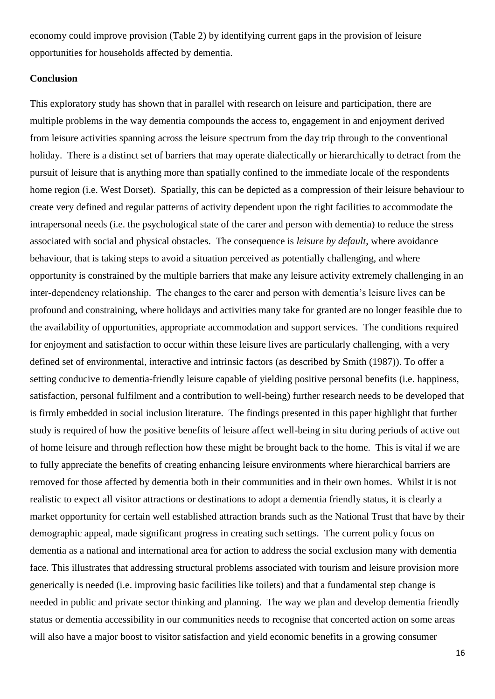economy could improve provision (Table 2) by identifying current gaps in the provision of leisure opportunities for households affected by dementia.

## **Conclusion**

This exploratory study has shown that in parallel with research on leisure and participation, there are multiple problems in the way dementia compounds the access to, engagement in and enjoyment derived from leisure activities spanning across the leisure spectrum from the day trip through to the conventional holiday. There is a distinct set of barriers that may operate dialectically or hierarchically to detract from the pursuit of leisure that is anything more than spatially confined to the immediate locale of the respondents home region (i.e. West Dorset). Spatially, this can be depicted as a compression of their leisure behaviour to create very defined and regular patterns of activity dependent upon the right facilities to accommodate the intrapersonal needs (i.e. the psychological state of the carer and person with dementia) to reduce the stress associated with social and physical obstacles. The consequence is *leisure by default*, where avoidance behaviour, that is taking steps to avoid a situation perceived as potentially challenging, and where opportunity is constrained by the multiple barriers that make any leisure activity extremely challenging in an inter-dependency relationship. The changes to the carer and person with dementia's leisure lives can be profound and constraining, where holidays and activities many take for granted are no longer feasible due to the availability of opportunities, appropriate accommodation and support services. The conditions required for enjoyment and satisfaction to occur within these leisure lives are particularly challenging, with a very defined set of environmental, interactive and intrinsic factors (as described by Smith (1987)). To offer a setting conducive to dementia-friendly leisure capable of yielding positive personal benefits (i.e. happiness, satisfaction, personal fulfilment and a contribution to well-being) further research needs to be developed that is firmly embedded in social inclusion literature. The findings presented in this paper highlight that further study is required of how the positive benefits of leisure affect well-being in situ during periods of active out of home leisure and through reflection how these might be brought back to the home. This is vital if we are to fully appreciate the benefits of creating enhancing leisure environments where hierarchical barriers are removed for those affected by dementia both in their communities and in their own homes. Whilst it is not realistic to expect all visitor attractions or destinations to adopt a dementia friendly status, it is clearly a market opportunity for certain well established attraction brands such as the National Trust that have by their demographic appeal, made significant progress in creating such settings. The current policy focus on dementia as a national and international area for action to address the social exclusion many with dementia face. This illustrates that addressing structural problems associated with tourism and leisure provision more generically is needed (i.e. improving basic facilities like toilets) and that a fundamental step change is needed in public and private sector thinking and planning. The way we plan and develop dementia friendly status or dementia accessibility in our communities needs to recognise that concerted action on some areas will also have a major boost to visitor satisfaction and yield economic benefits in a growing consumer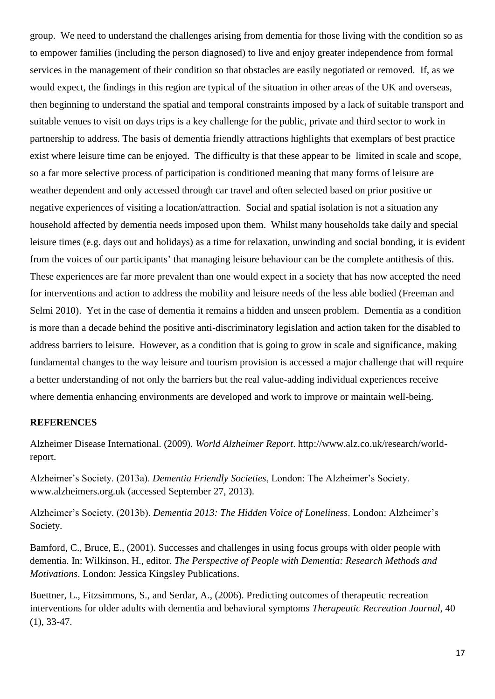group. We need to understand the challenges arising from dementia for those living with the condition so as to empower families (including the person diagnosed) to live and enjoy greater independence from formal services in the management of their condition so that obstacles are easily negotiated or removed. If, as we would expect, the findings in this region are typical of the situation in other areas of the UK and overseas, then beginning to understand the spatial and temporal constraints imposed by a lack of suitable transport and suitable venues to visit on days trips is a key challenge for the public, private and third sector to work in partnership to address. The basis of dementia friendly attractions highlights that exemplars of best practice exist where leisure time can be enjoyed. The difficulty is that these appear to be limited in scale and scope, so a far more selective process of participation is conditioned meaning that many forms of leisure are weather dependent and only accessed through car travel and often selected based on prior positive or negative experiences of visiting a location/attraction. Social and spatial isolation is not a situation any household affected by dementia needs imposed upon them. Whilst many households take daily and special leisure times (e.g. days out and holidays) as a time for relaxation, unwinding and social bonding, it is evident from the voices of our participants' that managing leisure behaviour can be the complete antithesis of this. These experiences are far more prevalent than one would expect in a society that has now accepted the need for interventions and action to address the mobility and leisure needs of the less able bodied (Freeman and Selmi 2010). Yet in the case of dementia it remains a hidden and unseen problem. Dementia as a condition is more than a decade behind the positive anti-discriminatory legislation and action taken for the disabled to address barriers to leisure. However, as a condition that is going to grow in scale and significance, making fundamental changes to the way leisure and tourism provision is accessed a major challenge that will require a better understanding of not only the barriers but the real value-adding individual experiences receive where dementia enhancing environments are developed and work to improve or maintain well-being.

## **REFERENCES**

Alzheimer Disease International. (2009). *World Alzheimer Report*. http://www.alz.co.uk/research/worldreport.

Alzheimer's Society. (2013a). *Dementia Friendly Societies*, London: The Alzheimer's Society. www.alzheimers.org.uk (accessed September 27, 2013).

Alzheimer's Society. (2013b). *Dementia 2013: The Hidden Voice of Loneliness*. London: Alzheimer's Society.

Bamford, C., Bruce, E., (2001). Successes and challenges in using focus groups with older people with dementia. In: Wilkinson, H., editor. *The Perspective of People with Dementia: Research Methods and Motivations*. London: Jessica Kingsley Publications.

Buettner, L., Fitzsimmons, S., and Serdar, A., (2006). Predicting outcomes of therapeutic recreation interventions for older adults with dementia and behavioral symptoms *Therapeutic Recreation Journal*, 40 (1), 33-47.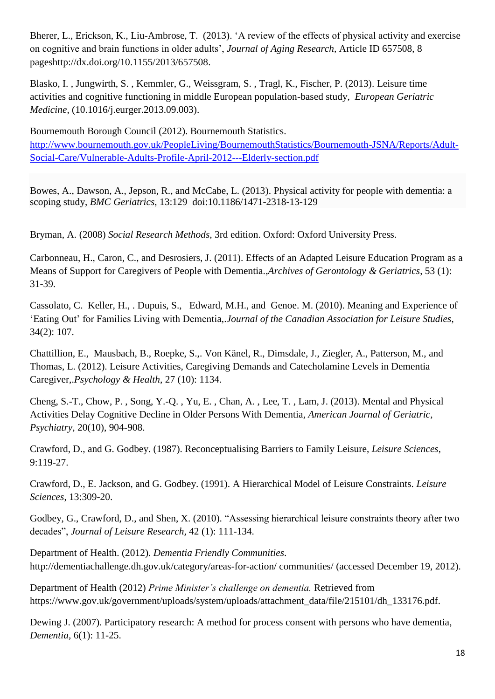Bherer, L., Erickson, K., Liu-Ambrose, T. (2013). 'A review of the effects of physical activity and exercise on cognitive and brain functions in older adults', *Journal of Aging Research,* Article ID 657508, 8 pageshttp://dx.doi.org/10.1155/2013/657508.

Blasko, I. , Jungwirth, S. , Kemmler, G., Weissgram, S. , Tragl, K., Fischer, P. (2013). Leisure time activities and cognitive functioning in middle European population-based study, *European Geriatric Medicine*, (10.1016/j.eurger.2013.09.003).

Bournemouth Borough Council (2012). Bournemouth Statistics. [http://www.bournemouth.gov.uk/PeopleLiving/BournemouthStatistics/Bournemouth-JSNA/Reports/Adult-](http://www.bournemouth.gov.uk/PeopleLiving/BournemouthStatistics/Bournemouth-JSNA/Reports/Adult-Social-Care/Vulnerable-Adults-Profile-April-2012---Elderly-section.pdf)[Social-Care/Vulnerable-Adults-Profile-April-2012---Elderly-section.pdf](http://www.bournemouth.gov.uk/PeopleLiving/BournemouthStatistics/Bournemouth-JSNA/Reports/Adult-Social-Care/Vulnerable-Adults-Profile-April-2012---Elderly-section.pdf)

Bowes, A., Dawson, A., Jepson, R., and McCabe, L. (2013). Physical activity for people with dementia: a scoping study, *BMC Geriatrics*, 13:129 doi:10.1186/1471-2318-13-129

Bryman, A. (2008) *Social Research Methods*, 3rd edition. Oxford: Oxford University Press.

Carbonneau, H., Caron, C., and Desrosiers, J. (2011). Effects of an Adapted Leisure Education Program as a Means of Support for Caregivers of People with Dementia.,*Archives of Gerontology & Geriatrics*, 53 (1): 31-39.

Cassolato, C. Keller, H., . Dupuis, S., Edward, M.H., and Genoe. M. (2010). Meaning and Experience of 'Eating Out' for Families Living with Dementia,.*Journal of the Canadian Association for Leisure Studies*, 34(2): 107.

Chattillion, E., Mausbach, B., Roepke, S.,. Von Känel, R., Dimsdale, J., Ziegler, A., Patterson, M., and Thomas, L. (2012). Leisure Activities, Caregiving Demands and Catecholamine Levels in Dementia Caregiver,.*Psychology & Health*, 27 (10): 1134.

Cheng, S.-T., Chow, P. , Song, Y.-Q. , Yu, E. , Chan, A. , Lee, T. , Lam, J. (2013). Mental and Physical Activities Delay Cognitive Decline in Older Persons With Dementia, *American Journal of Geriatric, Psychiatry,* 20(10), 904-908.

Crawford, D., and G. Godbey. (1987). Reconceptualising Barriers to Family Leisure, *Leisure Sciences*, 9:119-27.

Crawford, D., E. Jackson, and G. Godbey. (1991). A Hierarchical Model of Leisure Constraints. *Leisure Sciences*, 13:309-20.

Godbey, G., Crawford, D., and Shen, X. (2010). "Assessing hierarchical leisure constraints theory after two decades", *Journal of Leisure Research,* 42 (1): 111-134.

Department of Health. (2012). *Dementia Friendly Communities*. http://dementiachallenge.dh.gov.uk/category/areas-for-action/ communities/ (accessed December 19, 2012).

Department of Health (2012) *Prime Minister's challenge on dementia.* Retrieved from https://www.gov.uk/government/uploads/system/uploads/attachment\_data/file/215101/dh\_133176.pdf.

Dewing J. (2007). Participatory research: A method for process consent with persons who have dementia, *Dementia,* 6(1): 11-25.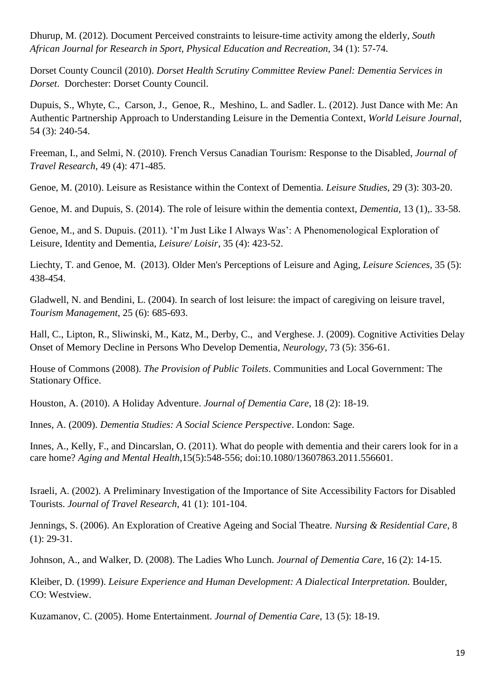Dhurup, M. (2012). Document Perceived constraints to leisure-time activity among the elderly, *South African Journal for Research in Sport, Physical Education and Recreation,* 34 (1): 57-74.

Dorset County Council (2010). *Dorset Health Scrutiny Committee Review Panel: Dementia Services in Dorset*. Dorchester: Dorset County Council.

Dupuis, S., Whyte, C., Carson, J., Genoe, R., Meshino, L. and Sadler. L. (2012). Just Dance with Me: An Authentic Partnership Approach to Understanding Leisure in the Dementia Context, *World Leisure Journal*, 54 (3): 240-54.

Freeman, I., and Selmi, N. (2010). French Versus Canadian Tourism: Response to the Disabled, *Journal of Travel Research*, 49 (4): 471-485.

Genoe, M. (2010). Leisure as Resistance within the Context of Dementia. *Leisure Studies*, 29 (3): 303-20.

Genoe, M. and Dupuis, S. (2014). The role of leisure within the dementia context, *Dementia*, 13 (1),. 33-58.

Genoe, M., and S. Dupuis. (2011). 'I'm Just Like I Always Was': A Phenomenological Exploration of Leisure, Identity and Dementia, *Leisure/ Loisir*, 35 (4): 423-52.

Liechty, T. and Genoe, M. (2013). Older Men's Perceptions of Leisure and Aging, *Leisure Sciences,* 35 (5): 438-454.

Gladwell, N. and Bendini, L. (2004). In search of lost leisure: the impact of caregiving on leisure travel, *Tourism Management*, 25 (6): 685-693.

Hall, C., Lipton, R., Sliwinski, M., Katz, M., Derby, C., and Verghese. J. (2009). Cognitive Activities Delay Onset of Memory Decline in Persons Who Develop Dementia, *Neurology*, 73 (5): 356-61.

House of Commons (2008). *The Provision of Public Toilets*. Communities and Local Government: The Stationary Office.

Houston, A. (2010). A Holiday Adventure. *Journal of Dementia Care*, 18 (2): 18-19.

Innes, A. (2009). *Dementia Studies: A Social Science Perspective*. London: Sage.

Innes, A., Kelly, F., and Dincarslan, O. (2011). What do people with dementia and their carers look for in a care home? *Aging and Mental Health*,15(5):548-556; doi:10.1080/13607863.2011.556601.

Israeli, A. (2002). A Preliminary Investigation of the Importance of Site Accessibility Factors for Disabled Tourists. *Journal of Travel Research*, 41 (1): 101-104.

Jennings, S. (2006). An Exploration of Creative Ageing and Social Theatre. *Nursing & Residential Care*, 8 (1): 29-31.

Johnson, A., and Walker, D. (2008). The Ladies Who Lunch. *Journal of Dementia Care*, 16 (2): 14-15.

Kleiber, D. (1999). *Leisure Experience and Human Development: A Dialectical Interpretation.* Boulder, CO: Westview.

Kuzamanov, C. (2005). Home Entertainment. *Journal of Dementia Care*, 13 (5): 18-19.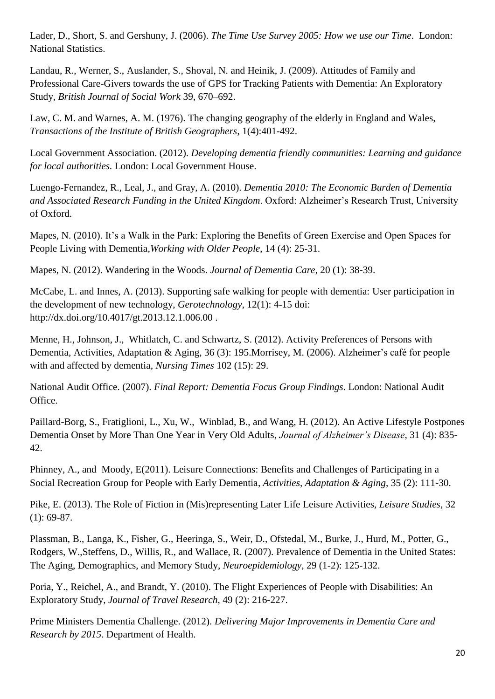Lader, D., Short, S. and Gershuny, J. (2006). *The Time Use Survey 2005: How we use our Time*. London: National Statistics.

Landau, R., Werner, S., Auslander, S., Shoval, N. and Heinik, J. (2009). Attitudes of Family and Professional Care-Givers towards the use of GPS for Tracking Patients with Dementia: An Exploratory Study, *British Journal of Social Work* 39, 670–692.

Law, C. M. and Warnes, A. M. (1976). The changing geography of the elderly in England and Wales, *Transactions of the Institute of British Geographers*, 1(4):401-492.

Local Government Association. (2012). *Developing dementia friendly communities: Learning and guidance for local authorities.* London: Local Government House.

Luengo-Fernandez, R., Leal, J., and Gray, A. (2010). *Dementia 2010: The Economic Burden of Dementia and Associated Research Funding in the United Kingdom*. Oxford: Alzheimer's Research Trust, University of Oxford.

Mapes, N. (2010). It's a Walk in the Park: Exploring the Benefits of Green Exercise and Open Spaces for People Living with Dementia,*Working with Older People*, 14 (4): 25-31.

Mapes, N. (2012). Wandering in the Woods. *Journal of Dementia Care*, 20 (1): 38-39.

McCabe, L. and Innes, A. (2013). Supporting safe walking for people with dementia: User participation in the development of new technology, *Gerotechnology,* 12(1): 4-15 doi: http://dx.doi.org/10.4017/gt.2013.12.1.006.00 .

Menne, H., Johnson, J., Whitlatch, C. and Schwartz, S. (2012). Activity Preferences of Persons with Dementia, Activities, Adaptation & Aging, 36 (3): 195.Morrisey, M. (2006). Alzheimer's café for people with and affected by dementia, *Nursing Times* 102 (15): 29.

National Audit Office. (2007). *Final Report: Dementia Focus Group Findings*. London: National Audit Office.

Paillard-Borg, S., Fratiglioni, L., Xu, W., Winblad, B., and Wang, H. (2012). An Active Lifestyle Postpones Dementia Onset by More Than One Year in Very Old Adults, *Journal of Alzheimer's Disease*, 31 (4): 835- 42.

Phinney, A., and Moody, E(2011). Leisure Connections: Benefits and Challenges of Participating in a Social Recreation Group for People with Early Dementia, *Activities, Adaptation & Aging*, 35 (2): 111-30.

Pike, E. (2013). The Role of Fiction in (Mis)representing Later Life Leisure Activities, *Leisure Studies*, 32 (1): 69-87.

Plassman, B., Langa, K., Fisher, G., Heeringa, S., Weir, D., Ofstedal, M., Burke, J., Hurd, M., Potter, G., Rodgers, W.,Steffens, D., Willis, R., and Wallace, R. (2007). Prevalence of Dementia in the United States: The Aging, Demographics, and Memory Study, *Neuroepidemiology,* 29 (1-2): 125-132.

Poria, Y., Reichel, A., and Brandt, Y. (2010). The Flight Experiences of People with Disabilities: An Exploratory Study, *Journal of Travel Research*, 49 (2): 216-227.

Prime Ministers Dementia Challenge. (2012). *Delivering Major Improvements in Dementia Care and Research by 2015*. Department of Health.